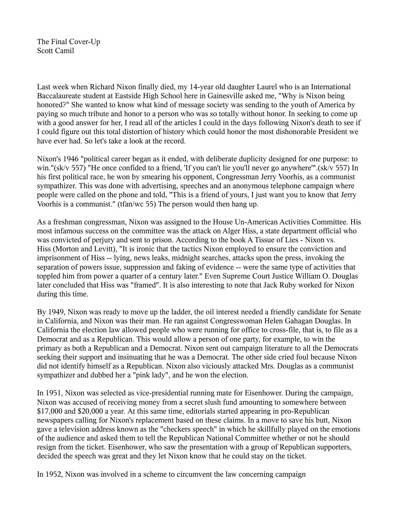The Final Cover-Up Scott Camil

Last week when Richard Nixon finally died, my 14-year old daughter Laurel who is an International Baccalaureate student at Eastside High School here in Gainesville asked me, "Why is Nixon being honored?" She wanted to know what kind of message society was sending to the youth of America by paying so much tribute and honor to a person who was so totally without honor. In seeking to come up with a good answer for her, I read all of the articles I could in the days following Nixon's death to see if I could figure out this total distortion of history which could honor the most dishonorable President we have ever had. So let's take a look at the record.

Nixon's 1946 "political career began as it ended, with deliberate duplicity designed for one purpose: to win."(sk/v 557) "He once confided to a friend, 'If you can't lie you'll never go anywhere'".(sk/v 557) In his first political race, he won by smearing his opponent, Congressman Jerry Voorhis, as a communist sympathizer. This was done with advertising, speeches and an anonymous telephone campaign where people were called on the phone and told, "This is a friend of yours, I just want you to know that Jerry Voorhis is a communist." (tfan/wc 55) The person would then hang up.

As a freshman congressman, Nixon was assigned to the House Un-American Activities Committee. His most infamous success on the committee was the attack on Alger Hiss, a state department official who was convicted of perjury and sent to prison. According to the book A Tissue of Lies - Nixon vs. Hiss (Morton and Levitt), "It is ironic that the tactics Nixon employed to ensure the conviction and imprisonment of Hiss -- lying, news leaks, midnight searches, attacks upon the press, invoking the separation of powers issue, suppression and faking of evidence -- were the same type of activities that toppled him from power a quarter of a century later." Even Supreme Court Justice William O. Douglas later concluded that Hiss was "framed". It is also interesting to note that Jack Ruby worked for Nixon during this time.

By 1949, Nixon was ready to move up the ladder, the oil interest needed a friendly candidate for Senate in California, and Nixon was their man. He ran against Congresswoman Helen Gahagan Douglas. In California the election law allowed people who were running for office to cross-file, that is, to file as a Democrat and as a Republican. This would allow a person of one party, for example, to win the primary as both a Republican and a Democrat. Nixon sent out campaign literature to all the Democrats seeking their support and insinuating that he was a Democrat. The other side cried foul because Nixon did not identify himself as a Republican. Nixon also viciously attacked Mrs. Douglas as a communist sympathizer and dubbed her a "pink lady", and he won the election.

In 1951, Nixon was selected as vice-presidential running mate for Eisenhower. During the campaign, Nixon was accused of receiving money from a secret slush fund amounting to somewhere between \$17,000 and \$20,000 a year. At this same time, editorials started appearing in pro-Republican newspapers calling for Nixon's replacement based on these claims. In a move to save his butt, Nixon gave a television address known as the "checkers speech" in which he skillfully played on the emotions of the audience and asked them to tell the Republican National Committee whether or not he should resign from the ticket. Eisenhower, who saw the presentation with a group of Republican supporters, decided the speech was great and they let Nixon know that he could stay on the ticket.

In 1952, Nixon was involved in a scheme to circumvent the law concerning campaign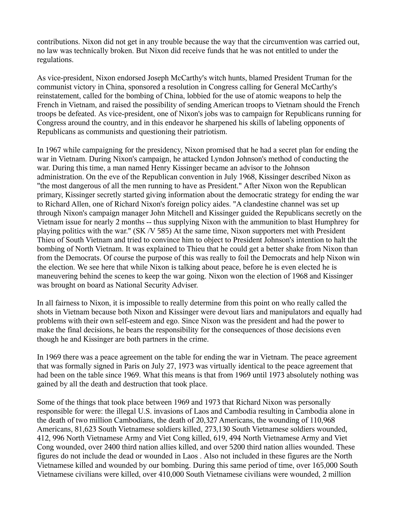contributions. Nixon did not get in any trouble because the way that the circumvention was carried out, no law was technically broken. But Nixon did receive funds that he was not entitled to under the regulations.

As vice-president, Nixon endorsed Joseph McCarthy's witch hunts, blamed President Truman for the communist victory in China, sponsored a resolution in Congress calling for General McCarthy's reinstatement, called for the bombing of China, lobbied for the use of atomic weapons to help the French in Vietnam, and raised the possibility of sending American troops to Vietnam should the French troops be defeated. As vice-president, one of Nixon's jobs was to campaign for Republicans running for Congress around the country, and in this endeavor he sharpened his skills of labeling opponents of Republicans as communists and questioning their patriotism.

In 1967 while campaigning for the presidency, Nixon promised that he had a secret plan for ending the war in Vietnam. During Nixon's campaign, he attacked Lyndon Johnson's method of conducting the war. During this time, a man named Henry Kissinger became an advisor to the Johnson administration. On the eve of the Republican convention in July 1968, Kissinger described Nixon as "the most dangerous of all the men running to have as President." After Nixon won the Republican primary, Kissinger secretly started giving information about the democratic strategy for ending the war to Richard Allen, one of Richard Nixon's foreign policy aides. "A clandestine channel was set up through Nixon's campaign manager John Mitchell and Kissinger guided the Republicans secretly on the Vietnam issue for nearly 2 months -- thus supplying Nixon with the ammunition to blast Humphrey for playing politics with the war." (SK /V 585) At the same time, Nixon supporters met with President Thieu of South Vietnam and tried to convince him to object to President Johnson's intention to halt the bombing of North Vietnam. It was explained to Thieu that he could get a better shake from Nixon than from the Democrats. Of course the purpose of this was really to foil the Democrats and help Nixon win the election. We see here that while Nixon is talking about peace, before he is even elected he is maneuvering behind the scenes to keep the war going. Nixon won the election of 1968 and Kissinger was brought on board as National Security Adviser.

In all fairness to Nixon, it is impossible to really determine from this point on who really called the shots in Vietnam because both Nixon and Kissinger were devout liars and manipulators and equally had problems with their own self-esteem and ego. Since Nixon was the president and had the power to make the final decisions, he bears the responsibility for the consequences of those decisions even though he and Kissinger are both partners in the crime.

In 1969 there was a peace agreement on the table for ending the war in Vietnam. The peace agreement that was formally signed in Paris on July 27, 1973 was virtually identical to the peace agreement that had been on the table since 1969. What this means is that from 1969 until 1973 absolutely nothing was gained by all the death and destruction that took place.

Some of the things that took place between 1969 and 1973 that Richard Nixon was personally responsible for were: the illegal U.S. invasions of Laos and Cambodia resulting in Cambodia alone in the death of two million Cambodians, the death of 20,327 Americans, the wounding of 110,968 Americans, 81,623 South Vietnamese soldiers killed, 273,130 South Vietnamese soldiers wounded, 412, 996 North Vietnamese Army and Viet Cong killed, 619, 494 North Vietnamese Army and Viet Cong wounded, over 2400 third nation allies killed, and over 5200 third nation allies wounded. These figures do not include the dead or wounded in Laos . Also not included in these figures are the North Vietnamese killed and wounded by our bombing. During this same period of time, over 165,000 South Vietnamese civilians were killed, over 410,000 South Vietnamese civilians were wounded, 2 million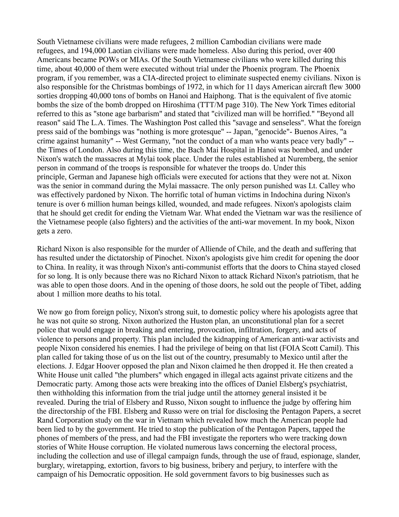South Vietnamese civilians were made refugees, 2 million Cambodian civilians were made refugees, and 194,000 Laotian civilians were made homeless. Also during this period, over 400 Americans became POWs or MIAs. Of the South Vietnamese civilians who were killed during this time, about 40,000 of them were executed without trial under the Phoenix program. The Phoenix program, if you remember, was a CIA-directed project to eliminate suspected enemy civilians. Nixon is also responsible for the Christmas bombings of 1972, in which for 11 days American aircraft flew 3000 sorties dropping 40,000 tons of bombs on Hanoi and Haiphong. That is the equivalent of five atomic bombs the size of the bomb dropped on Hiroshima (TTT/M page 310). The New York Times editorial referred to this as "stone age barbarism" and stated that "civilized man will be horrified." "Beyond all reason" said The L.A. Times. The Washington Post called this "savage and senseless". What the foreign press said of the bombings was "nothing is more grotesque" -- Japan, "genocide"- Buenos Aires, "a crime against humanity" -- West Germany, "not the conduct of a man who wants peace very badly" - the Times of London. Also during this time, the Bach Mai Hospital in Hanoi was bombed, and under Nixon's watch the massacres at Mylai took place. Under the rules established at Nuremberg, the senior person in command of the troops is responsible for whatever the troops do. Under this principle, German and Japanese high officials were executed for actions that they were not at. Nixon was the senior in command during the Mylai massacre. The only person punished was Lt. Calley who was effectively pardoned by Nixon. The horrific total of human victims in Indochina during Nixon's tenure is over 6 million human beings killed, wounded, and made refugees. Nixon's apologists claim that he should get credit for ending the Vietnam War. What ended the Vietnam war was the resilience of the Vietnamese people (also fighters) and the activities of the anti-war movement. In my book, Nixon gets a zero.

Richard Nixon is also responsible for the murder of Alliende of Chile, and the death and suffering that has resulted under the dictatorship of Pinochet. Nixon's apologists give him credit for opening the door to China. In reality, it was through Nixon's anti-communist efforts that the doors to China stayed closed for so long. It is only because there was no Richard Nixon to attack Richard Nixon's patriotism, that he was able to open those doors. And in the opening of those doors, he sold out the people of Tibet, adding about 1 million more deaths to his total.

We now go from foreign policy, Nixon's strong suit, to domestic policy where his apologists agree that he was not quite so strong. Nixon authorized the Huston plan, an unconstitutional plan for a secret police that would engage in breaking and entering, provocation, infiltration, forgery, and acts of violence to persons and property. This plan included the kidnapping of American anti-war activists and people Nixon considered his enemies. I had the privilege of being on that list (FOIA Scott Camil). This plan called for taking those of us on the list out of the country, presumably to Mexico until after the elections. J. Edgar Hoover opposed the plan and Nixon claimed he then dropped it. He then created a White House unit called "the plumbers" which engaged in illegal acts against private citizens and the Democratic party. Among those acts were breaking into the offices of Daniel Elsberg's psychiatrist, then withholding this information from the trial judge until the attorney general insisted it be revealed. During the trial of Elsbery and Russo, Nixon sought to influence the judge by offering him the directorship of the FBI. Elsberg and Russo were on trial for disclosing the Pentagon Papers, a secret Rand Corporation study on the war in Vietnam which revealed how much the American people had been lied to by the government. He tried to stop the publication of the Pentagon Papers, tapped the phones of members of the press, and had the FBI investigate the reporters who were tracking down stories of White House corruption. He violated numerous laws concerning the electoral process, including the collection and use of illegal campaign funds, through the use of fraud, espionage, slander, burglary, wiretapping, extortion, favors to big business, bribery and perjury, to interfere with the campaign of his Democratic opposition. He sold government favors to big businesses such as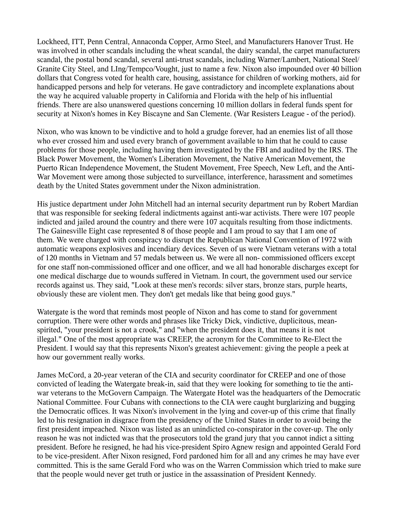Lockheed, ITT, Penn Central, Annaconda Copper, Armo Steel, and Manufacturers Hanover Trust. He was involved in other scandals including the wheat scandal, the dairy scandal, the carpet manufacturers scandal, the postal bond scandal, several anti-trust scandals, including Warner/Lambert, National Steel/ Granite City Steel, and LIng/Tempco/Vought, just to name a few. Nixon also impounded over 40 billion dollars that Congress voted for health care, housing, assistance for children of working mothers, aid for handicapped persons and help for veterans. He gave contradictory and incomplete explanations about the way he acquired valuable property in California and Florida with the help of his influential friends. There are also unanswered questions concerning 10 million dollars in federal funds spent for security at Nixon's homes in Key Biscayne and San Clemente. (War Resisters League - of the period).

Nixon, who was known to be vindictive and to hold a grudge forever, had an enemies list of all those who ever crossed him and used every branch of government available to him that he could to cause problems for those people, including having them investigated by the FBI and audited by the IRS. The Black Power Movement, the Women's Liberation Movement, the Native American Movement, the Puerto Rican Independence Movement, the Student Movement, Free Speech, New Left, and the Anti-War Movement were among those subjected to surveillance, interference, harassment and sometimes death by the United States government under the Nixon administration.

His justice department under John Mitchell had an internal security department run by Robert Mardian that was responsible for seeking federal indictments against anti-war activists. There were 107 people indicted and jailed around the country and there were 107 acquitals resulting from those indictments. The Gainesville Eight case represented 8 of those people and I am proud to say that I am one of them. We were charged with conspiracy to disrupt the Republican National Convention of 1972 with automatic weapons explosives and incendiary devices. Seven of us were Vietnam veterans with a total of 120 months in Vietnam and 57 medals between us. We were all non- commissioned officers except for one staff non-commissioned officer and one officer, and we all had honorable discharges except for one medical discharge due to wounds suffered in Vietnam. In court, the government used our service records against us. They said, "Look at these men's records: silver stars, bronze stars, purple hearts, obviously these are violent men. They don't get medals like that being good guys."

Watergate is the word that reminds most people of Nixon and has come to stand for government corruption. There were other words and phrases like Tricky Dick, vindictive, duplicitous, meanspirited, "your president is not a crook," and "when the president does it, that means it is not illegal." One of the most appropriate was CREEP, the acronym for the Committee to Re-Elect the President. I would say that this represents Nixon's greatest achievement: giving the people a peek at how our government really works.

James McCord, a 20-year veteran of the CIA and security coordinator for CREEP and one of those convicted of leading the Watergate break-in, said that they were looking for something to tie the antiwar veterans to the McGovern Campaign. The Watergate Hotel was the headquarters of the Democratic National Committee. Four Cubans with connections to the CIA were caught burglarizing and bugging the Democratic offices. It was Nixon's involvement in the lying and cover-up of this crime that finally led to his resignation in disgrace from the presidency of the United States in order to avoid being the first president impeached. Nixon was listed as an unindicted co-conspirator in the cover-up. The only reason he was not indicted was that the prosecutors told the grand jury that you cannot indict a sitting president. Before he resigned, he had his vice-president Spiro Agnew resign and appointed Gerald Ford to be vice-president. After Nixon resigned, Ford pardoned him for all and any crimes he may have ever committed. This is the same Gerald Ford who was on the Warren Commission which tried to make sure that the people would never get truth or justice in the assassination of President Kennedy.